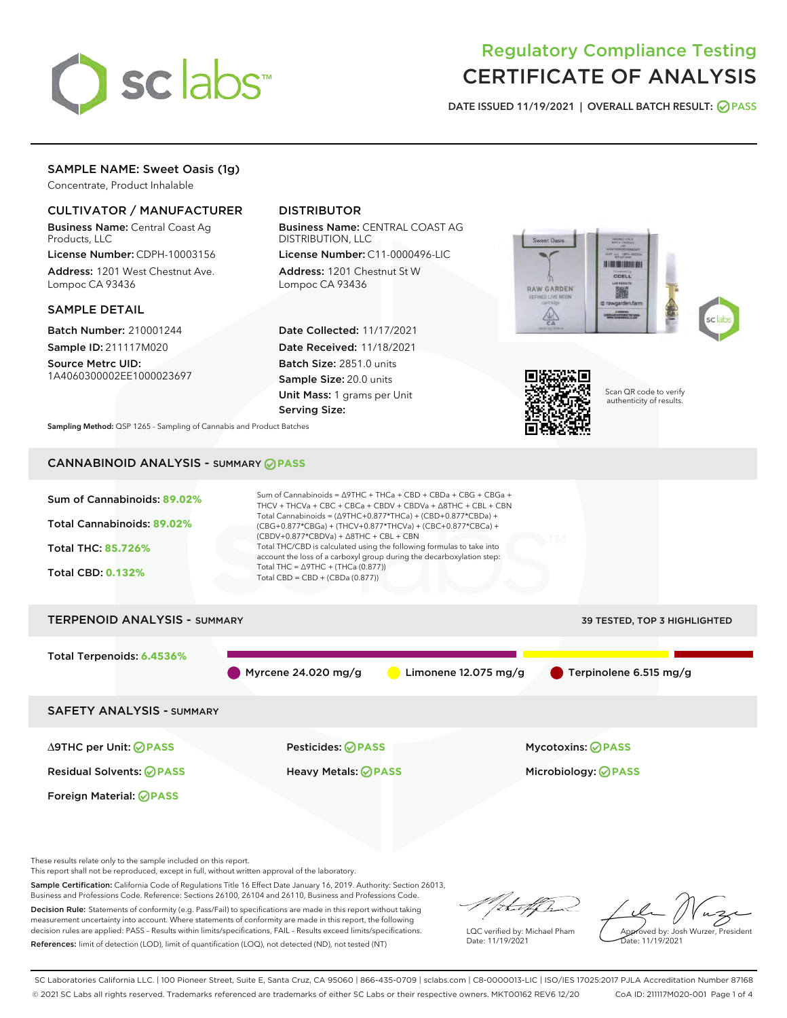

# Regulatory Compliance Testing CERTIFICATE OF ANALYSIS

DATE ISSUED 11/19/2021 | OVERALL BATCH RESULT: @ PASS

# SAMPLE NAME: Sweet Oasis (1g)

Concentrate, Product Inhalable

# CULTIVATOR / MANUFACTURER

Business Name: Central Coast Ag Products, LLC

License Number: CDPH-10003156 Address: 1201 West Chestnut Ave. Lompoc CA 93436

#### SAMPLE DETAIL

Batch Number: 210001244 Sample ID: 211117M020

Source Metrc UID: 1A4060300002EE1000023697

# DISTRIBUTOR

Business Name: CENTRAL COAST AG DISTRIBUTION, LLC

License Number: C11-0000496-LIC Address: 1201 Chestnut St W Lompoc CA 93436

Date Collected: 11/17/2021 Date Received: 11/18/2021 Batch Size: 2851.0 units Sample Size: 20.0 units Unit Mass: 1 grams per Unit Serving Size:





Scan QR code to verify authenticity of results.

Sampling Method: QSP 1265 - Sampling of Cannabis and Product Batches

# CANNABINOID ANALYSIS - SUMMARY **PASS**



Sample Certification: California Code of Regulations Title 16 Effect Date January 16, 2019. Authority: Section 26013, Business and Professions Code. Reference: Sections 26100, 26104 and 26110, Business and Professions Code. Decision Rule: Statements of conformity (e.g. Pass/Fail) to specifications are made in this report without taking

measurement uncertainty into account. Where statements of conformity are made in this report, the following decision rules are applied: PASS – Results within limits/specifications, FAIL – Results exceed limits/specifications. References: limit of detection (LOD), limit of quantification (LOQ), not detected (ND), not tested (NT)

that f In

LQC verified by: Michael Pham Date: 11/19/2021

Approved by: Josh Wurzer, President ate: 11/19/2021

SC Laboratories California LLC. | 100 Pioneer Street, Suite E, Santa Cruz, CA 95060 | 866-435-0709 | sclabs.com | C8-0000013-LIC | ISO/IES 17025:2017 PJLA Accreditation Number 87168 © 2021 SC Labs all rights reserved. Trademarks referenced are trademarks of either SC Labs or their respective owners. MKT00162 REV6 12/20 CoA ID: 211117M020-001 Page 1 of 4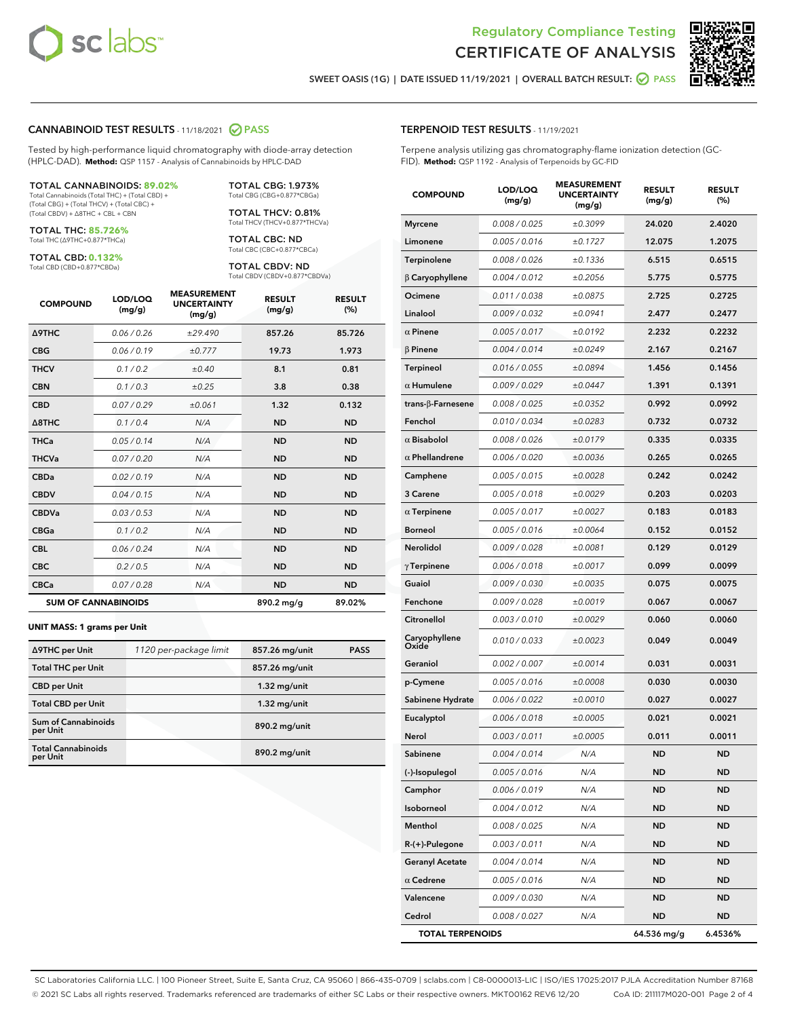



SWEET OASIS (1G) | DATE ISSUED 11/19/2021 | OVERALL BATCH RESULT: @ PASS

#### CANNABINOID TEST RESULTS - 11/18/2021 2 PASS

Tested by high-performance liquid chromatography with diode-array detection (HPLC-DAD). **Method:** QSP 1157 - Analysis of Cannabinoids by HPLC-DAD

#### TOTAL CANNABINOIDS: **89.02%**

Total Cannabinoids (Total THC) + (Total CBD) + (Total CBG) + (Total THCV) + (Total CBC) + (Total CBDV) + ∆8THC + CBL + CBN

TOTAL THC: **85.726%** Total THC (∆9THC+0.877\*THCa)

TOTAL CBD: **0.132%**

Total CBD (CBD+0.877\*CBDa)

TOTAL CBG: 1.973% Total CBG (CBG+0.877\*CBGa)

TOTAL THCV: 0.81% Total THCV (THCV+0.877\*THCVa)

TOTAL CBC: ND Total CBC (CBC+0.877\*CBCa)

TOTAL CBDV: ND Total CBDV (CBDV+0.877\*CBDVa)

| <b>COMPOUND</b>            | LOD/LOQ<br>(mg/g) | <b>MEASUREMENT</b><br><b>UNCERTAINTY</b><br>(mg/g) | <b>RESULT</b><br>(mg/g) | <b>RESULT</b><br>(%) |
|----------------------------|-------------------|----------------------------------------------------|-------------------------|----------------------|
| <b>A9THC</b>               | 0.06/0.26         | ±29.490                                            | 857.26                  | 85.726               |
| <b>CBG</b>                 | 0.06/0.19         | ±0.777                                             | 19.73                   | 1.973                |
| <b>THCV</b>                | 0.1/0.2           | ±0.40                                              | 8.1                     | 0.81                 |
| <b>CBN</b>                 | 0.1/0.3           | $\pm 0.25$                                         | 3.8                     | 0.38                 |
| <b>CBD</b>                 | 0.07/0.29         | ±0.061                                             | 1.32                    | 0.132                |
| $\triangle$ 8THC           | 0.1/0.4           | N/A                                                | <b>ND</b>               | <b>ND</b>            |
| <b>THCa</b>                | 0.05/0.14         | N/A                                                | <b>ND</b>               | <b>ND</b>            |
| <b>THCVa</b>               | 0.07/0.20         | N/A                                                | <b>ND</b>               | <b>ND</b>            |
| <b>CBDa</b>                | 0.02/0.19         | N/A                                                | <b>ND</b>               | <b>ND</b>            |
| <b>CBDV</b>                | 0.04 / 0.15       | N/A                                                | <b>ND</b>               | <b>ND</b>            |
| <b>CBDVa</b>               | 0.03/0.53         | N/A                                                | <b>ND</b>               | <b>ND</b>            |
| <b>CBGa</b>                | 0.1/0.2           | N/A                                                | <b>ND</b>               | <b>ND</b>            |
| <b>CBL</b>                 | 0.06 / 0.24       | N/A                                                | <b>ND</b>               | <b>ND</b>            |
| <b>CBC</b>                 | 0.2 / 0.5         | N/A                                                | <b>ND</b>               | <b>ND</b>            |
| <b>CBCa</b>                | 0.07/0.28         | N/A                                                | <b>ND</b>               | <b>ND</b>            |
| <b>SUM OF CANNABINOIDS</b> |                   |                                                    | 890.2 mg/g              | 89.02%               |

#### **UNIT MASS: 1 grams per Unit**

| ∆9THC per Unit                         | 1120 per-package limit | 857.26 mg/unit | <b>PASS</b> |
|----------------------------------------|------------------------|----------------|-------------|
| <b>Total THC per Unit</b>              |                        | 857.26 mg/unit |             |
| <b>CBD per Unit</b>                    |                        | $1.32$ mg/unit |             |
| <b>Total CBD per Unit</b>              |                        | $1.32$ mg/unit |             |
| <b>Sum of Cannabinoids</b><br>per Unit |                        | 890.2 mg/unit  |             |
| <b>Total Cannabinoids</b><br>per Unit  |                        | 890.2 mg/unit  |             |

#### TERPENOID TEST RESULTS - 11/19/2021

Terpene analysis utilizing gas chromatography-flame ionization detection (GC-FID). **Method:** QSP 1192 - Analysis of Terpenoids by GC-FID

| <b>COMPOUND</b>         | LOD/LOQ<br>(mg/g) | <b>MEASUREMENT</b><br><b>UNCERTAINTY</b><br>(mg/g) | <b>RESULT</b><br>(mg/g) | <b>RESULT</b><br>(%) |
|-------------------------|-------------------|----------------------------------------------------|-------------------------|----------------------|
| Myrcene                 | 0.008 / 0.025     | ±0.3099                                            | 24.020                  | 2.4020               |
| Limonene                | 0.005 / 0.016     | ±0.1727                                            | 12.075                  | 1.2075               |
| Terpinolene             | 0.008 / 0.026     | ±0.1336                                            | 6.515                   | 0.6515               |
| $\beta$ Caryophyllene   | 0.004 / 0.012     | ±0.2056                                            | 5.775                   | 0.5775               |
| Ocimene                 | 0.011 / 0.038     | ±0.0875                                            | 2.725                   | 0.2725               |
| Linalool                | 0.009 / 0.032     | ±0.0941                                            | 2.477                   | 0.2477               |
| $\alpha$ Pinene         | 0.005 / 0.017     | ±0.0192                                            | 2.232                   | 0.2232               |
| $\beta$ Pinene          | 0.004 / 0.014     | ±0.0249                                            | 2.167                   | 0.2167               |
| <b>Terpineol</b>        | 0.016 / 0.055     | ±0.0894                                            | 1.456                   | 0.1456               |
| $\alpha$ Humulene       | 0.009 / 0.029     | ±0.0447                                            | 1.391                   | 0.1391               |
| trans-β-Farnesene       | 0.008 / 0.025     | ±0.0352                                            | 0.992                   | 0.0992               |
| Fenchol                 | 0.010 / 0.034     | ±0.0283                                            | 0.732                   | 0.0732               |
| $\alpha$ Bisabolol      | 0.008 / 0.026     | ±0.0179                                            | 0.335                   | 0.0335               |
| $\alpha$ Phellandrene   | 0.006 / 0.020     | ±0.0036                                            | 0.265                   | 0.0265               |
| Camphene                | 0.005 / 0.015     | ±0.0028                                            | 0.242                   | 0.0242               |
| 3 Carene                | 0.005 / 0.018     | ±0.0029                                            | 0.203                   | 0.0203               |
| $\alpha$ Terpinene      | 0.005 / 0.017     | ±0.0027                                            | 0.183                   | 0.0183               |
| <b>Borneol</b>          | 0.005 / 0.016     | ±0.0064                                            | 0.152                   | 0.0152               |
| Nerolidol               | 0.009 / 0.028     | ±0.0081                                            | 0.129                   | 0.0129               |
| $\gamma$ Terpinene      | 0.006 / 0.018     | ±0.0017                                            | 0.099                   | 0.0099               |
| Guaiol                  | 0.009 / 0.030     | ±0.0035                                            | 0.075                   | 0.0075               |
| Fenchone                | 0.009 / 0.028     | ±0.0019                                            | 0.067                   | 0.0067               |
| Citronellol             | 0.003 / 0.010     | ±0.0029                                            | 0.060                   | 0.0060               |
| Caryophyllene<br>Oxide  | 0.010 / 0.033     | ±0.0023                                            | 0.049                   | 0.0049               |
| Geraniol                | 0.002 / 0.007     | ±0.0014                                            | 0.031                   | 0.0031               |
| p-Cymene                | 0.005 / 0.016     | ±0.0008                                            | 0.030                   | 0.0030               |
| Sabinene Hydrate        | 0.006 / 0.022     | ±0.0010                                            | 0.027                   | 0.0027               |
| Eucalyptol              | 0.006 / 0.018     | ±0.0005                                            | 0.021                   | 0.0021               |
| Nerol                   | 0.003 / 0.011     | ±0.0005                                            | 0.011                   | 0.0011               |
| Sabinene                | 0.004 / 0.014     | N/A                                                | <b>ND</b>               | <b>ND</b>            |
| (-)-Isopulegol          | 0.005 / 0.016     | N/A                                                | ND                      | ND                   |
| Camphor                 | 0.006 / 0.019     | N/A                                                | ND                      | ND                   |
| Isoborneol              | 0.004 / 0.012     | N/A                                                | ND                      | ND                   |
| Menthol                 | 0.008 / 0.025     | N/A                                                | ND                      | ND                   |
| R-(+)-Pulegone          | 0.003 / 0.011     | N/A                                                | ND                      | ND                   |
| <b>Geranyl Acetate</b>  | 0.004 / 0.014     | N/A                                                | ND                      | ND                   |
| $\alpha$ Cedrene        | 0.005 / 0.016     | N/A                                                | ND                      | ND                   |
| Valencene               | 0.009 / 0.030     | N/A                                                | ND                      | ND                   |
| Cedrol                  | 0.008 / 0.027     | N/A                                                | ND                      | ND                   |
| <b>TOTAL TERPENOIDS</b> |                   |                                                    | 64.536 mg/g             | 6.4536%              |

SC Laboratories California LLC. | 100 Pioneer Street, Suite E, Santa Cruz, CA 95060 | 866-435-0709 | sclabs.com | C8-0000013-LIC | ISO/IES 17025:2017 PJLA Accreditation Number 87168 © 2021 SC Labs all rights reserved. Trademarks referenced are trademarks of either SC Labs or their respective owners. MKT00162 REV6 12/20 CoA ID: 211117M020-001 Page 2 of 4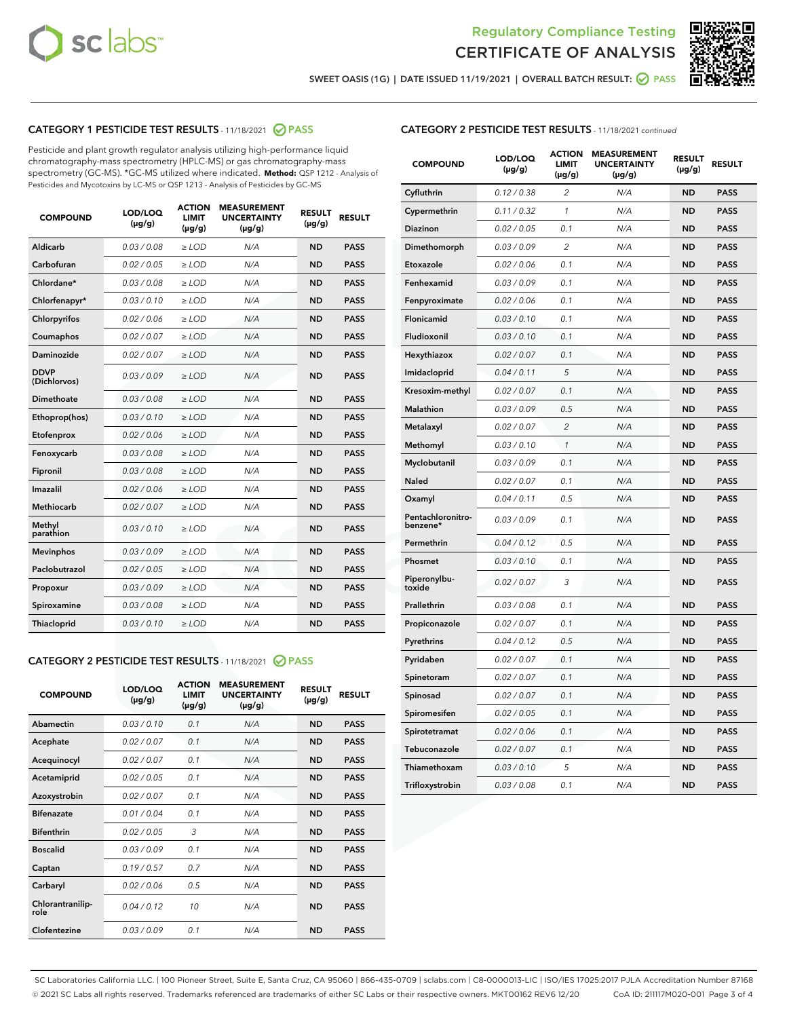



SWEET OASIS (1G) | DATE ISSUED 11/19/2021 | OVERALL BATCH RESULT:  $\bigcirc$  PASS

# CATEGORY 1 PESTICIDE TEST RESULTS - 11/18/2021 2 PASS

Pesticide and plant growth regulator analysis utilizing high-performance liquid chromatography-mass spectrometry (HPLC-MS) or gas chromatography-mass spectrometry (GC-MS). \*GC-MS utilized where indicated. **Method:** QSP 1212 - Analysis of Pesticides and Mycotoxins by LC-MS or QSP 1213 - Analysis of Pesticides by GC-MS

| 0.03/0.08<br>Aldicarb<br>$>$ LOD<br>N/A<br><b>ND</b><br><b>PASS</b><br>Carbofuran<br>0.02 / 0.05<br>$\ge$ LOD<br>N/A<br><b>ND</b><br><b>PASS</b><br>Chlordane*<br>0.03/0.08<br>$>$ LOD<br>N/A<br><b>ND</b><br><b>PASS</b><br>Chlorfenapyr*<br>0.03/0.10<br><b>PASS</b><br>$\ge$ LOD<br>N/A<br><b>ND</b><br>Chlorpyrifos<br>0.02 / 0.06<br>N/A<br><b>ND</b><br><b>PASS</b><br>$\ge$ LOD<br>0.02 / 0.07<br>N/A<br><b>ND</b><br><b>PASS</b><br>Coumaphos<br>$\ge$ LOD<br>Daminozide<br>0.02 / 0.07<br>$\ge$ LOD<br>N/A<br><b>ND</b><br><b>PASS</b><br><b>DDVP</b><br>0.03/0.09<br>$\ge$ LOD<br>N/A<br><b>ND</b><br><b>PASS</b><br>(Dichlorvos)<br><b>Dimethoate</b><br>0.03 / 0.08<br>N/A<br><b>ND</b><br><b>PASS</b><br>$\ge$ LOD<br>0.03/0.10<br>N/A<br><b>ND</b><br><b>PASS</b><br>Ethoprop(hos)<br>$\ge$ LOD<br>0.02 / 0.06<br>N/A<br><b>ND</b><br><b>PASS</b><br>Etofenprox<br>$\ge$ LOD<br>0.03 / 0.08<br>N/A<br><b>ND</b><br><b>PASS</b><br>Fenoxycarb<br>$\ge$ LOD<br>0.03/0.08<br>$>$ LOD<br>N/A<br><b>ND</b><br>Fipronil<br><b>PASS</b><br>0.02 / 0.06<br>Imazalil<br>$\ge$ LOD<br>N/A<br><b>ND</b><br><b>PASS</b><br>Methiocarb<br>0.02 / 0.07<br>$\ge$ LOD<br>N/A<br><b>ND</b><br><b>PASS</b><br>Methyl<br>0.03/0.10<br>N/A<br><b>ND</b><br><b>PASS</b><br>$\ge$ LOD<br>parathion<br>0.03/0.09<br>$\ge$ LOD<br><b>ND</b><br><b>PASS</b><br><b>Mevinphos</b><br>N/A<br>Paclobutrazol<br>0.02 / 0.05<br>$>$ LOD<br>N/A<br><b>ND</b><br><b>PASS</b><br>0.03/0.09<br>N/A<br>$\ge$ LOD<br><b>ND</b><br><b>PASS</b><br>Propoxur<br>0.03 / 0.08<br><b>ND</b><br><b>PASS</b><br>Spiroxamine<br>$\ge$ LOD<br>N/A<br>Thiacloprid<br>0.03/0.10<br>$\ge$ LOD<br>N/A<br><b>ND</b><br><b>PASS</b> | <b>COMPOUND</b> | LOD/LOQ<br>$(\mu g/g)$ | <b>ACTION</b><br><b>LIMIT</b><br>$(\mu g/g)$ | <b>MEASUREMENT</b><br><b>UNCERTAINTY</b><br>$(\mu g/g)$ | <b>RESULT</b><br>$(\mu g/g)$ | <b>RESULT</b> |
|----------------------------------------------------------------------------------------------------------------------------------------------------------------------------------------------------------------------------------------------------------------------------------------------------------------------------------------------------------------------------------------------------------------------------------------------------------------------------------------------------------------------------------------------------------------------------------------------------------------------------------------------------------------------------------------------------------------------------------------------------------------------------------------------------------------------------------------------------------------------------------------------------------------------------------------------------------------------------------------------------------------------------------------------------------------------------------------------------------------------------------------------------------------------------------------------------------------------------------------------------------------------------------------------------------------------------------------------------------------------------------------------------------------------------------------------------------------------------------------------------------------------------------------------------------------------------------------------------------------------------------------------------------------------------------------------|-----------------|------------------------|----------------------------------------------|---------------------------------------------------------|------------------------------|---------------|
|                                                                                                                                                                                                                                                                                                                                                                                                                                                                                                                                                                                                                                                                                                                                                                                                                                                                                                                                                                                                                                                                                                                                                                                                                                                                                                                                                                                                                                                                                                                                                                                                                                                                                              |                 |                        |                                              |                                                         |                              |               |
|                                                                                                                                                                                                                                                                                                                                                                                                                                                                                                                                                                                                                                                                                                                                                                                                                                                                                                                                                                                                                                                                                                                                                                                                                                                                                                                                                                                                                                                                                                                                                                                                                                                                                              |                 |                        |                                              |                                                         |                              |               |
|                                                                                                                                                                                                                                                                                                                                                                                                                                                                                                                                                                                                                                                                                                                                                                                                                                                                                                                                                                                                                                                                                                                                                                                                                                                                                                                                                                                                                                                                                                                                                                                                                                                                                              |                 |                        |                                              |                                                         |                              |               |
|                                                                                                                                                                                                                                                                                                                                                                                                                                                                                                                                                                                                                                                                                                                                                                                                                                                                                                                                                                                                                                                                                                                                                                                                                                                                                                                                                                                                                                                                                                                                                                                                                                                                                              |                 |                        |                                              |                                                         |                              |               |
|                                                                                                                                                                                                                                                                                                                                                                                                                                                                                                                                                                                                                                                                                                                                                                                                                                                                                                                                                                                                                                                                                                                                                                                                                                                                                                                                                                                                                                                                                                                                                                                                                                                                                              |                 |                        |                                              |                                                         |                              |               |
|                                                                                                                                                                                                                                                                                                                                                                                                                                                                                                                                                                                                                                                                                                                                                                                                                                                                                                                                                                                                                                                                                                                                                                                                                                                                                                                                                                                                                                                                                                                                                                                                                                                                                              |                 |                        |                                              |                                                         |                              |               |
|                                                                                                                                                                                                                                                                                                                                                                                                                                                                                                                                                                                                                                                                                                                                                                                                                                                                                                                                                                                                                                                                                                                                                                                                                                                                                                                                                                                                                                                                                                                                                                                                                                                                                              |                 |                        |                                              |                                                         |                              |               |
|                                                                                                                                                                                                                                                                                                                                                                                                                                                                                                                                                                                                                                                                                                                                                                                                                                                                                                                                                                                                                                                                                                                                                                                                                                                                                                                                                                                                                                                                                                                                                                                                                                                                                              |                 |                        |                                              |                                                         |                              |               |
|                                                                                                                                                                                                                                                                                                                                                                                                                                                                                                                                                                                                                                                                                                                                                                                                                                                                                                                                                                                                                                                                                                                                                                                                                                                                                                                                                                                                                                                                                                                                                                                                                                                                                              |                 |                        |                                              |                                                         |                              |               |
|                                                                                                                                                                                                                                                                                                                                                                                                                                                                                                                                                                                                                                                                                                                                                                                                                                                                                                                                                                                                                                                                                                                                                                                                                                                                                                                                                                                                                                                                                                                                                                                                                                                                                              |                 |                        |                                              |                                                         |                              |               |
|                                                                                                                                                                                                                                                                                                                                                                                                                                                                                                                                                                                                                                                                                                                                                                                                                                                                                                                                                                                                                                                                                                                                                                                                                                                                                                                                                                                                                                                                                                                                                                                                                                                                                              |                 |                        |                                              |                                                         |                              |               |
|                                                                                                                                                                                                                                                                                                                                                                                                                                                                                                                                                                                                                                                                                                                                                                                                                                                                                                                                                                                                                                                                                                                                                                                                                                                                                                                                                                                                                                                                                                                                                                                                                                                                                              |                 |                        |                                              |                                                         |                              |               |
|                                                                                                                                                                                                                                                                                                                                                                                                                                                                                                                                                                                                                                                                                                                                                                                                                                                                                                                                                                                                                                                                                                                                                                                                                                                                                                                                                                                                                                                                                                                                                                                                                                                                                              |                 |                        |                                              |                                                         |                              |               |
|                                                                                                                                                                                                                                                                                                                                                                                                                                                                                                                                                                                                                                                                                                                                                                                                                                                                                                                                                                                                                                                                                                                                                                                                                                                                                                                                                                                                                                                                                                                                                                                                                                                                                              |                 |                        |                                              |                                                         |                              |               |
|                                                                                                                                                                                                                                                                                                                                                                                                                                                                                                                                                                                                                                                                                                                                                                                                                                                                                                                                                                                                                                                                                                                                                                                                                                                                                                                                                                                                                                                                                                                                                                                                                                                                                              |                 |                        |                                              |                                                         |                              |               |
|                                                                                                                                                                                                                                                                                                                                                                                                                                                                                                                                                                                                                                                                                                                                                                                                                                                                                                                                                                                                                                                                                                                                                                                                                                                                                                                                                                                                                                                                                                                                                                                                                                                                                              |                 |                        |                                              |                                                         |                              |               |
|                                                                                                                                                                                                                                                                                                                                                                                                                                                                                                                                                                                                                                                                                                                                                                                                                                                                                                                                                                                                                                                                                                                                                                                                                                                                                                                                                                                                                                                                                                                                                                                                                                                                                              |                 |                        |                                              |                                                         |                              |               |
|                                                                                                                                                                                                                                                                                                                                                                                                                                                                                                                                                                                                                                                                                                                                                                                                                                                                                                                                                                                                                                                                                                                                                                                                                                                                                                                                                                                                                                                                                                                                                                                                                                                                                              |                 |                        |                                              |                                                         |                              |               |
|                                                                                                                                                                                                                                                                                                                                                                                                                                                                                                                                                                                                                                                                                                                                                                                                                                                                                                                                                                                                                                                                                                                                                                                                                                                                                                                                                                                                                                                                                                                                                                                                                                                                                              |                 |                        |                                              |                                                         |                              |               |
|                                                                                                                                                                                                                                                                                                                                                                                                                                                                                                                                                                                                                                                                                                                                                                                                                                                                                                                                                                                                                                                                                                                                                                                                                                                                                                                                                                                                                                                                                                                                                                                                                                                                                              |                 |                        |                                              |                                                         |                              |               |
|                                                                                                                                                                                                                                                                                                                                                                                                                                                                                                                                                                                                                                                                                                                                                                                                                                                                                                                                                                                                                                                                                                                                                                                                                                                                                                                                                                                                                                                                                                                                                                                                                                                                                              |                 |                        |                                              |                                                         |                              |               |

#### CATEGORY 2 PESTICIDE TEST RESULTS - 11/18/2021 @ PASS

| <b>COMPOUND</b>          | LOD/LOO<br>$(\mu g/g)$ | <b>ACTION</b><br>LIMIT<br>$(\mu g/g)$ | <b>MEASUREMENT</b><br><b>UNCERTAINTY</b><br>$(\mu g/g)$ | <b>RESULT</b><br>$(\mu g/g)$ | <b>RESULT</b> |  |
|--------------------------|------------------------|---------------------------------------|---------------------------------------------------------|------------------------------|---------------|--|
| Abamectin                | 0.03/0.10              | 0.1                                   | N/A                                                     | <b>ND</b>                    | <b>PASS</b>   |  |
| Acephate                 | 0.02/0.07              | 0.1                                   | N/A                                                     | <b>ND</b>                    | <b>PASS</b>   |  |
| Acequinocyl              | 0.02/0.07              | 0.1                                   | N/A                                                     | <b>ND</b>                    | <b>PASS</b>   |  |
| Acetamiprid              | 0.02/0.05              | 0.1                                   | N/A                                                     | <b>ND</b>                    | <b>PASS</b>   |  |
| Azoxystrobin             | 0.02/0.07              | 0.1                                   | N/A                                                     | <b>ND</b>                    | <b>PASS</b>   |  |
| <b>Bifenazate</b>        | 0.01 / 0.04            | 0.1                                   | N/A                                                     | <b>ND</b>                    | <b>PASS</b>   |  |
| <b>Bifenthrin</b>        | 0.02/0.05              | 3                                     | N/A                                                     | <b>ND</b>                    | <b>PASS</b>   |  |
| <b>Boscalid</b>          | 0.03/0.09              | 0.1                                   | N/A                                                     | <b>ND</b>                    | <b>PASS</b>   |  |
| Captan                   | 0.19/0.57              | 0.7                                   | N/A                                                     | <b>ND</b>                    | <b>PASS</b>   |  |
| Carbaryl                 | 0.02/0.06              | 0.5                                   | N/A                                                     | <b>ND</b>                    | <b>PASS</b>   |  |
| Chlorantranilip-<br>role | 0.04/0.12              | 10                                    | N/A                                                     | <b>ND</b>                    | <b>PASS</b>   |  |
| Clofentezine             | 0.03/0.09              | 0.1                                   | N/A                                                     | <b>ND</b>                    | <b>PASS</b>   |  |

| <b>CATEGORY 2 PESTICIDE TEST RESULTS</b> - 11/18/2021 continued |  |
|-----------------------------------------------------------------|--|
|                                                                 |  |

| <b>COMPOUND</b>               | LOD/LOQ<br>(µg/g) | <b>ACTION</b><br>LIMIT<br>$(\mu g/g)$ | <b>MEASUREMENT</b><br><b>UNCERTAINTY</b><br>(µg/g) | <b>RESULT</b><br>(µg/g) | <b>RESULT</b> |
|-------------------------------|-------------------|---------------------------------------|----------------------------------------------------|-------------------------|---------------|
| Cyfluthrin                    | 0.12 / 0.38       | 2                                     | N/A                                                | <b>ND</b>               | <b>PASS</b>   |
| Cypermethrin                  | 0.11 / 0.32       | $\mathcal{I}$                         | N/A                                                | <b>ND</b>               | <b>PASS</b>   |
| Diazinon                      | 0.02 / 0.05       | 0.1                                   | N/A                                                | ND                      | <b>PASS</b>   |
| Dimethomorph                  | 0.03 / 0.09       | $\overline{2}$                        | N/A                                                | <b>ND</b>               | <b>PASS</b>   |
| Etoxazole                     | 0.02 / 0.06       | 0.1                                   | N/A                                                | <b>ND</b>               | <b>PASS</b>   |
| Fenhexamid                    | 0.03 / 0.09       | 0.1                                   | N/A                                                | <b>ND</b>               | <b>PASS</b>   |
| Fenpyroximate                 | 0.02 / 0.06       | 0.1                                   | N/A                                                | <b>ND</b>               | <b>PASS</b>   |
| Flonicamid                    | 0.03 / 0.10       | 0.1                                   | N/A                                                | <b>ND</b>               | <b>PASS</b>   |
| Fludioxonil                   | 0.03 / 0.10       | 0.1                                   | N/A                                                | <b>ND</b>               | <b>PASS</b>   |
| Hexythiazox                   | 0.02 / 0.07       | 0.1                                   | N/A                                                | <b>ND</b>               | <b>PASS</b>   |
| Imidacloprid                  | 0.04 / 0.11       | 5                                     | N/A                                                | <b>ND</b>               | <b>PASS</b>   |
| Kresoxim-methyl               | 0.02 / 0.07       | 0.1                                   | N/A                                                | <b>ND</b>               | <b>PASS</b>   |
| <b>Malathion</b>              | 0.03 / 0.09       | 0.5                                   | N/A                                                | <b>ND</b>               | <b>PASS</b>   |
| Metalaxyl                     | 0.02 / 0.07       | $\overline{2}$                        | N/A                                                | <b>ND</b>               | <b>PASS</b>   |
| Methomyl                      | 0.03 / 0.10       | 1                                     | N/A                                                | <b>ND</b>               | <b>PASS</b>   |
| Myclobutanil                  | 0.03 / 0.09       | 0.1                                   | N/A                                                | <b>ND</b>               | <b>PASS</b>   |
| Naled                         | 0.02 / 0.07       | 0.1                                   | N/A                                                | <b>ND</b>               | <b>PASS</b>   |
| Oxamyl                        | 0.04 / 0.11       | 0.5                                   | N/A                                                | <b>ND</b>               | <b>PASS</b>   |
| Pentachloronitro-<br>benzene* | 0.03 / 0.09       | 0.1                                   | N/A                                                | <b>ND</b>               | <b>PASS</b>   |
| Permethrin                    | 0.04 / 0.12       | 0.5                                   | N/A                                                | <b>ND</b>               | <b>PASS</b>   |
| Phosmet                       | 0.03/0.10         | 0.1                                   | N/A                                                | <b>ND</b>               | <b>PASS</b>   |
| Piperonylbu-<br>toxide        | 0.02 / 0.07       | 3                                     | N/A                                                | <b>ND</b>               | <b>PASS</b>   |
| Prallethrin                   | 0.03 / 0.08       | 0.1                                   | N/A                                                | <b>ND</b>               | <b>PASS</b>   |
| Propiconazole                 | 0.02 / 0.07       | 0.1                                   | N/A                                                | <b>ND</b>               | <b>PASS</b>   |
| Pyrethrins                    | 0.04 / 0.12       | 0.5                                   | N/A                                                | <b>ND</b>               | <b>PASS</b>   |
| Pyridaben                     | 0.02 / 0.07       | 0.1                                   | N/A                                                | <b>ND</b>               | <b>PASS</b>   |
| Spinetoram                    | 0.02 / 0.07       | 0.1                                   | N/A                                                | <b>ND</b>               | <b>PASS</b>   |
| Spinosad                      | 0.02 / 0.07       | 0.1                                   | N/A                                                | <b>ND</b>               | <b>PASS</b>   |
| Spiromesifen                  | 0.02 / 0.05       | 0.1                                   | N/A                                                | <b>ND</b>               | <b>PASS</b>   |
| Spirotetramat                 | 0.02 / 0.06       | 0.1                                   | N/A                                                | <b>ND</b>               | <b>PASS</b>   |
| Tebuconazole                  | 0.02 / 0.07       | 0.1                                   | N/A                                                | <b>ND</b>               | <b>PASS</b>   |
| Thiamethoxam                  | 0.03 / 0.10       | 5                                     | N/A                                                | <b>ND</b>               | <b>PASS</b>   |
| Trifloxystrobin               | 0.03 / 0.08       | 0.1                                   | N/A                                                | <b>ND</b>               | <b>PASS</b>   |

SC Laboratories California LLC. | 100 Pioneer Street, Suite E, Santa Cruz, CA 95060 | 866-435-0709 | sclabs.com | C8-0000013-LIC | ISO/IES 17025:2017 PJLA Accreditation Number 87168 © 2021 SC Labs all rights reserved. Trademarks referenced are trademarks of either SC Labs or their respective owners. MKT00162 REV6 12/20 CoA ID: 211117M020-001 Page 3 of 4